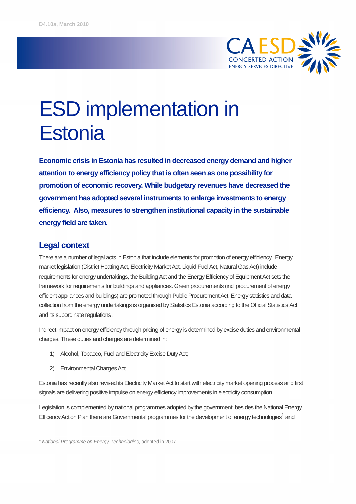

# ESD implementation in **Estonia**

**Economic crisis in Estonia has resulted in decreased energy demand and higher attention to energy efficiency policy that is often seen as one possibility for promotion of economic recovery. While budgetary revenues have decreased the government has adopted several instruments to enlarge investments to energy efficiency. Also, measures to strengthen institutional capacity in the sustainable energy field are taken.**

## **Legal context**

There are a number of legal acts in Estonia that include elements for promotion of energy efficiency. Energy market legislation (District Heating Act, Electricity Market Act, Liquid Fuel Act, Natural Gas Act) include requirements for energy undertakings, the Building Act and the Energy Efficiency of Equipment Act sets the framework for requirements for buildings and appliances. Green procurements (incl procurement of energy efficient appliances and buildings) are promoted through Public Procurement Act. Energy statistics and data collection from the energy undertakings is organised by Statistics Estonia according to the Official Statistics Act and its subordinate regulations.

Indirect impact on energy efficiency through pricing of energy is determined by excise duties and environmental charges. These duties and charges are determined in:

- 1) Alcohol, Tobacco, Fuel and Electricity Excise Duty Act;
- 2) Environmental Charges Act.

Estonia has recently also revised its Electricity Market Act to start with electricity market opening process and first signals are delivering positive impulse on energy efficiency improvements in electricity consumption.

Legislation is complemented by national programmes adopted by the government; besides the National Energy Efficency Action Plan there are Governmental programmes for the development of energy technologies<sup>1</sup> and

<sup>1</sup> National Programme on Energy Technologies, adopted in 2007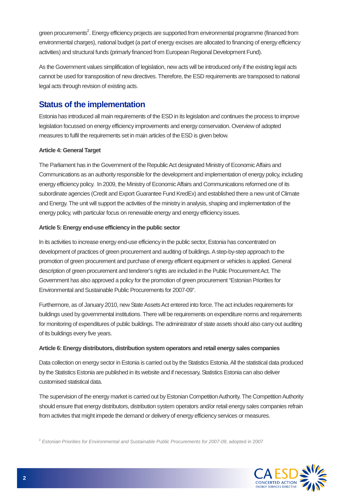green procurements<sup>2</sup>. Energy efficiency projects are supported from environmental programme (financed from environmental charges), national budget (a part of energy excises are allocated to financing of energy efficiency activities) and structural funds (primarly financed from European Regional Development Fund).

As the Government values simplification of legislation, new acts will be introduced only if the existing legal acts cannot be used for transposition of new directives. Therefore, the ESD requirements are transposed to national legal acts through revision of existing acts.

# **Status of the implementation**

Estonia has introduced all main requirements of the ESD in its legislation and continues the process to improve legislation focussed on energy efficiency improvements and energy conservation. Overview of adopted measures to fulfil the requirements set in main articles of the ESD is given below.

## **Article 4: General Target**

The Parliament has in the Government of the Republic Act designated Ministry of Economic Affairs and Communications as an authority responsible for the development and implementation of energy policy, including energy efficiency policy. In 2009, the Ministry of EconomicAffairs and Communications reformed one of its subordinate agencies (Credit and Export Guarantee Fund KredEx) and established there a new unit of Climate and Energy. The unit will support the activities of the ministry in analysis, shaping and implementation of the energy policy, with particular focus on renewable energy and energy efficiency issues.

## **Article 5: Energy end-use efficiency in the public sector**

In its activities to increase energy end-use efficiency in the public sector, Estonia has concentrated on development of practices of green procurement and auditing of buildings. A step-by-step approach to the promotion of green procurement and purchase of energy efficient equipment or vehicles is applied. General description of green procurement and tenderer's rights are included in the Public Procurement Act. The Government has also approved a policy for the promotion of green procurement "Estonian Priorities for Environmental and Sustainable Public Procurements for 2007-09".

Furthermore, as of January 2010, new State Assets Act entered into force. The act includes requirements for buildings used by governmental institutions. There will be requirements on expenditure norms and requirements for monitoring of expenditures of public buildings. The administrator of state assets should also carry out auditing of its buildings every five years.

### **Article 6: Energy distributors, distribution system operators and retail energy sales companies**

Data collection on energy sector in Estonia is carried out by the Statistics Estonia. All the statistical data produced by the Statistics Estonia are published in its website and if necessary, Statistics Estonia can also deliver customised statistical data.

The supervision of the energy market is carried out by Estonian CompetitionAuthority. The CompetitionAuthority should ensure that energy distributors, distribution system operators and/or retail energy sales companies refrain from activites that might impede the demand or delivery of energy efficiency services or measures.

 $2$  Estonian Priorities for Environmental and Sustainable Public Procurements for 2007-09, adopted in 2007

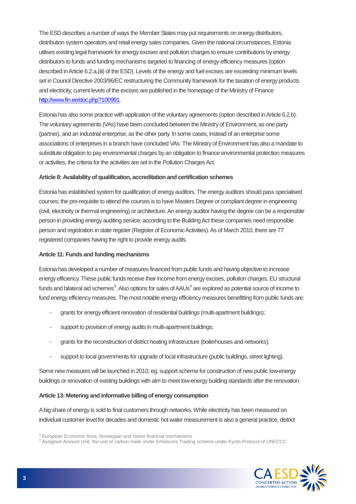The ESD describes a number of ways the Member States may put requirements on energy distributors, distribution system operators and retail energy sales companies. Given the national circumstances, Estonia utilises existing legal framework for energy excises and pollution charges to ensure contributions by energy distributors to funds and funding mechanisms targeted to financing of energy efficiency measures (option described inArticle 6.2.a.(iii) of the ESD). Levels of the energy and fuel excises are exceeding minimum levels set in Council Directive 2003/96/EC restructuring the Community framework for the taxation of energy products and electricity, current levels of the excises are published in the homepage of the Ministry of Finance http://www.fin.ee/doc.php?100991.

Estonia has also some practice with application of the voluntary agreements (option described in Article 6.2.b). The voluntary agreements (VAs) have been concluded between the Ministry of Environment, as one party (partner), and an industrial enterprise, as the other party. In some cases, instead of an enterprise some associations of enterprises in a branch have concluded VAs. The Ministry of Environment has also a mandate to substitute obligation to pay environmental charges by an obligation to finance environmental protection measures or activities, the criteria for the activities are set in the Pollution Charges Act.

#### **Article 8: Availability of qualification, accreditation and certification schemes**

Estonia has established system for qualification of energy auditors. The energy auditors should pass specialised courses; the pre-requisite to attend the courses is to have Masters Degree or compliant degree in engineering (civil, electricity or thermal engineering) or architecture.An energy auditor having the degree can be a responsible person in providing energy auditing service; according to the Building Act these companies need responsible person and registration in state register (Register of Economic Activities). As of March 2010, there are 77 registered companies having the right to provide energy audits.

#### **Article 11: Funds and funding mechanisms**

Estonia has developed a number of measures financed from public funds and having objective to increase energy efficiency. These public funds receive their income from energy excises, pollution charges, EU structural funds and bilateral aid schemes $^3$ . Also options for sales of AAUs $^4$  are explored as potential source of income to fund energy efficiency measures. The most notable energy efficiency measures benefitting from public funds are:

- grants for energy efficient renovation of residential buildings (multi-apartment buildings);
- support to provision of energy audits in multi-apartment buildings;
- grants for the reconstruction of district heating infrastructure (boilerhouses and networks);
- support to local governments for upgrade of local infrastructure (public buildings, street lighting).

Some new measures will be launched in 2010, eg. support scheme for construction of new public low-energy buildings or renovation of existing buildings with aim to meet low-energy building standards after the renovation.

#### **Article 13: Metering and informative billing of energy consumption**

Abig share of energy is sold to final customers through networks.While electricity has been measured on individual customer level for decades and domestic hot water measurement is also a general practice, district

<sup>&</sup>lt;sup>3</sup> European Economic Area, Norwegian and Swiss financial mechanisms<br><sup>4</sup> Assigned Amount Unit, the unit of carbon trade under Emissions Trading scheme under Kyoto Protocol of UNFCCC

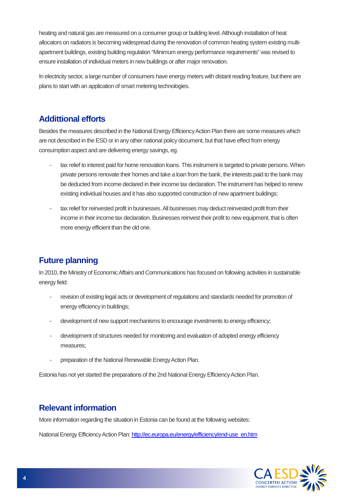heating and natural gas are measured on a consumer group or building level.Although installation of heat allocators on radiators is becoming widespread during the renovation of common heating system existing multiapartment buildings, existing building regulation "Minimum energy performance requirements" was revised to ensure installation of individual meters in new buildings or after major renovation.

In electricity sector, a large number of consumers have energy meters with distant reading feature, but there are plans to start with an application of smart metering technologies.

# **Addittional efforts**

Besides the measures described in the National Energy Efficiency Action Plan there are some measures which are not described in the ESD or in any other national policy document, but that have effect from energy consumption aspect and are delivering energy savings, eg.

- tax relief to interest paid for home renovation loans. This instrument is targeted to private persons. When private persons renovate their homes and take a loan from the bank, the interests paid to the bank may be deducted from income declared in their income tax declaration. The instrument has helped to renew existing individual houses and it has also supported construction of new apartment buildings;
- tax relief for reinvested profit in businesses. All businesses may deduct reinvested profit from their income in their income tax declaration. Businesses reinvest their profit to new equipment, that is often more energy efficient than the old one.

# **Future planning**

In 2010, the Ministry of EconomicAffairs and Communications has focused on following activities in sustainable energy field:

- revision of existing legal acts or development of regulations and standards needed for promotion of energy efficiency in buildings;
- development of new support mechanisms to encourage investments to energy efficiency;
- development of structures needed for monitoring and evaluation of adopted energy efficiency measures;
- preparation of the National Renewable Energy Action Plan.

Estonia has not yet started the preparations of the 2nd National Energy Efficiency Action Plan.

# **Relevant information**

More information regarding the situation in Estonia can be found at the following websites:

National Energy Efficiency Action Plan: http://ec.europa.eu/energy/efficiency/end-use\_en.htm